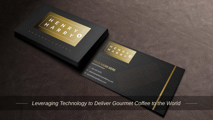*Leveraging Technology to Deliver Gourmet Coffee to the World*

H ENA

Ucensed Distributor NERE

Ucensed Distributor

systems of terms

S<sub>SSS-SSS-SSSS</sub><br>Pournam

pourname@hemyandharry

O

 $R$ 

HENRY

PART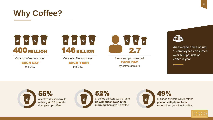

# $\begin{bmatrix} \circ & \circ & \circ & \circ \end{bmatrix}$ 400 MILLION

Cups of coffee consumed

EACH DAY the U.S.



Cups of coffee consumed EACH YEAR the U.S.



Average cups consumed a coffee a year. EACH DAY by coffee drinkers



An average office of just 15 employees consumes over 600 pounds of

55% of coffee drinkers would rather **gain 10 pounds** than give up coffee.



52% of coffee drinkers would rather **go without shower in the morning** than give up coffee.



49% of coffee drinkers would rather **give up cell phone for a month** than go without coffee.

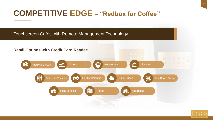#### **COMPETITIVE EDGE – "Redbox for Coffee"**



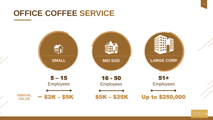#### **OFFICE COFFEE SERVICE**

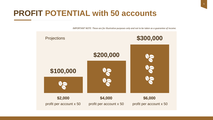### **PROFIT POTENTIAL with 50 accounts**

*IMPORTANT NOTE: These are for illustrative purposes only and not to be taken as a guarantee of income.*

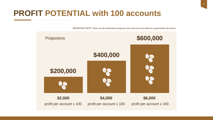### **PROFIT POTENTIAL with 100 accounts**

*IMPORTANT NOTE: These are for illustrative purposes only and not to be taken as a guarantee of income.*

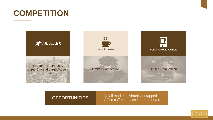### **COMPETITION**





- Retail market is virtually untapped **OPPORTUNITIES**  - Office coffee service is underserved



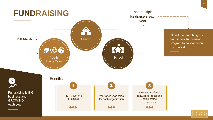

8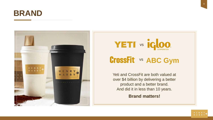





Yeti and CrossFit are both valued at over \$4 billion by delivering a better product and a better brand. And did it in less than 10 years.

**Brand matters!**

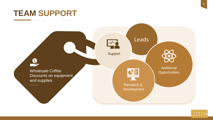#### **TEAM SUPPORT**



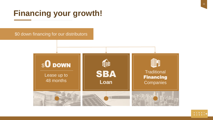## **Financing your growth!**

\$0 down financing for our distributors





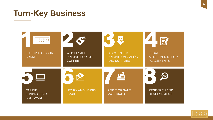#### **Turn-Key Business**



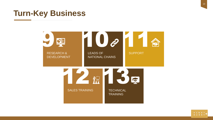#### **Turn-Key Business**